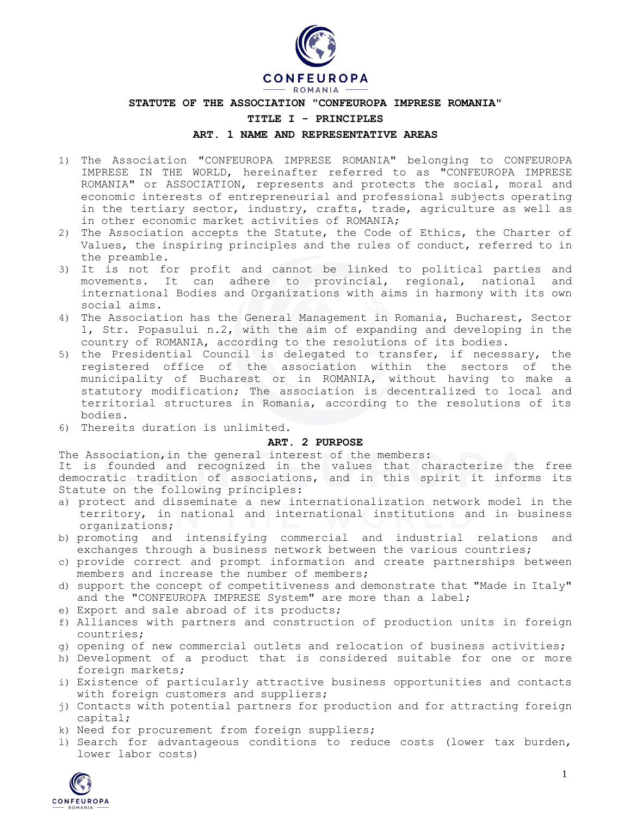

### **STATUTE OF THE ASSOCIATION "CONFEUROPA IMPRESE ROMANIA"**

#### **TITLE I - PRINCIPLES**

## **ART. 1 NAME AND REPRESENTATIVE AREAS**

- 1) The Association "CONFEUROPA IMPRESE ROMANIA" belonging to CONFEUROPA IMPRESE IN THE WORLD, hereinafter referred to as "CONFEUROPA IMPRESE ROMANIA" or ASSOCIATION, represents and protects the social, moral and economic interests of entrepreneurial and professional subjects operating in the tertiary sector, industry, crafts, trade, agriculture as well as in other economic market activities of ROMANIA;
- 2) The Association accepts the Statute, the Code of Ethics, the Charter of Values, the inspiring principles and the rules of conduct, referred to in the preamble.
- 3) It is not for profit and cannot be linked to political parties and movements. It can adhere to provincial, regional, national and international Bodies and Organizations with aims in harmony with its own social aims.
- 4) The Association has the General Management in Romania, Bucharest, Sector 1, Str. Popasului n.2, with the aim of expanding and developing in the country of ROMANIA, according to the resolutions of its bodies.
- 5) the Presidential Council is delegated to transfer, if necessary, the registered office of the association within the sectors of the municipality of Bucharest or in ROMANIA, without having to make a statutory modification; The association is decentralized to local and territorial structures in Romania, according to the resolutions of its bodies.
- 6) Thereits duration is unlimited.

### **ART. 2 PURPOSE**

The Association,in the general interest of the members:

It is founded and recognized in the values that characterize the free democratic tradition of associations, and in this spirit it informs its Statute on the following principles:

- a) protect and disseminate a new internationalization network model in the territory, in national and international institutions and in business organizations;
- b) promoting and intensifying commercial and industrial relations and exchanges through a business network between the various countries;
- c) provide correct and prompt information and create partnerships between members and increase the number of members;
- d) support the concept of competitiveness and demonstrate that "Made in Italy" and the "CONFEUROPA IMPRESE System" are more than a label;
- e) Export and sale abroad of its products;
- f) Alliances with partners and construction of production units in foreign countries;
- g) opening of new commercial outlets and relocation of business activities;
- h) Development of a product that is considered suitable for one or more foreign markets;
- i) Existence of particularly attractive business opportunities and contacts with foreign customers and suppliers;
- j) Contacts with potential partners for production and for attracting foreign capital;
- k) Need for procurement from foreign suppliers;
- l) Search for advantageous conditions to reduce costs (lower tax burden, lower labor costs)

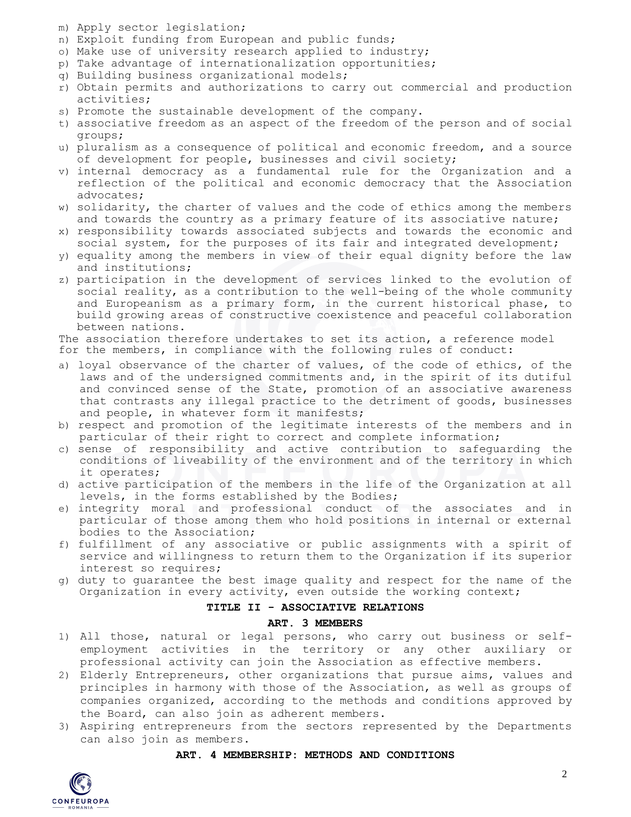- m) Apply sector legislation;
- n) Exploit funding from European and public funds;
- o) Make use of university research applied to industry;
- p) Take advantage of internationalization opportunities;
- q) Building business organizational models;
- r) Obtain permits and authorizations to carry out commercial and production activities;
- s) Promote the sustainable development of the company.
- t) associative freedom as an aspect of the freedom of the person and of social groups;
- u) pluralism as a consequence of political and economic freedom, and a source of development for people, businesses and civil society;
- v) internal democracy as a fundamental rule for the Organization and a reflection of the political and economic democracy that the Association advocates;
- w) solidarity, the charter of values and the code of ethics among the members and towards the country as a primary feature of its associative nature;
- x) responsibility towards associated subjects and towards the economic and social system, for the purposes of its fair and integrated development;
- y) equality among the members in view of their equal dignity before the law and institutions;
- z) participation in the development of services linked to the evolution of social reality, as a contribution to the well-being of the whole community and Europeanism as a primary form, in the current historical phase, to build growing areas of constructive coexistence and peaceful collaboration between nations.

The association therefore undertakes to set its action, a reference model for the members, in compliance with the following rules of conduct:

- a) loyal observance of the charter of values, of the code of ethics, of the laws and of the undersigned commitments and, in the spirit of its dutiful and convinced sense of the State, promotion of an associative awareness that contrasts any illegal practice to the detriment of goods, businesses and people, in whatever form it manifests;
- b) respect and promotion of the legitimate interests of the members and in particular of their right to correct and complete information;
- c) sense of responsibility and active contribution to safeguarding the conditions of liveability of the environment and of the territory in which it operates;
- d) active participation of the members in the life of the Organization at all levels, in the forms established by the Bodies;
- e) integrity moral and professional conduct of the associates and in particular of those among them who hold positions in internal or external bodies to the Association;
- f) fulfillment of any associative or public assignments with a spirit of service and willingness to return them to the Organization if its superior interest so requires;
- g) duty to guarantee the best image quality and respect for the name of the Organization in every activity, even outside the working context;

# **TITLE II - ASSOCIATIVE RELATIONS**

### **ART. 3 MEMBERS**

- 1) All those, natural or legal persons, who carry out business or selfemployment activities in the territory or any other auxiliary or professional activity can join the Association as effective members.
- 2) Elderly Entrepreneurs, other organizations that pursue aims, values and principles in harmony with those of the Association, as well as groups of companies organized, according to the methods and conditions approved by the Board, can also join as adherent members.
- 3) Aspiring entrepreneurs from the sectors represented by the Departments can also join as members.

## **ART. 4 MEMBERSHIP: METHODS AND CONDITIONS**

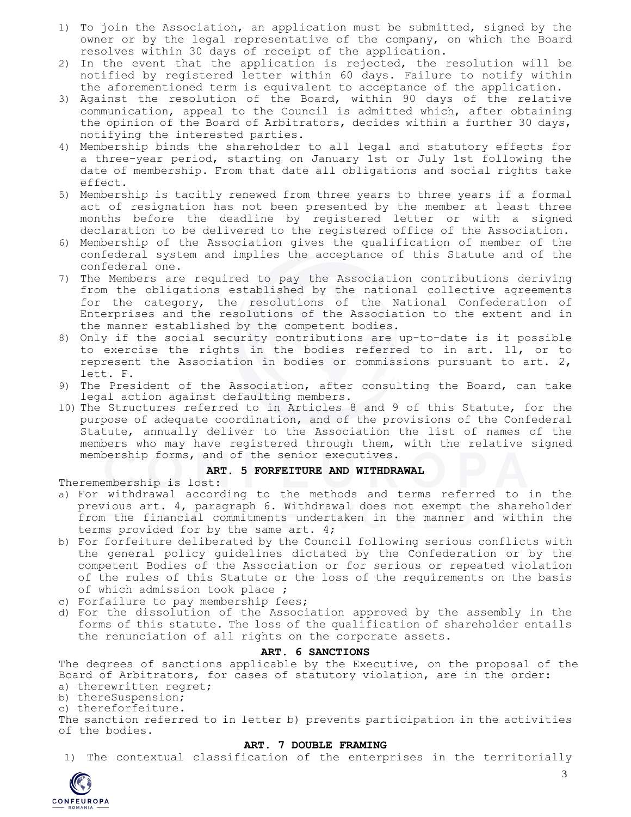- 1) To join the Association, an application must be submitted, signed by the owner or by the legal representative of the company, on which the Board resolves within 30 days of receipt of the application.
- 2) In the event that the application is rejected, the resolution will be notified by registered letter within 60 days. Failure to notify within the aforementioned term is equivalent to acceptance of the application.
- 3) Against the resolution of the Board, within 90 days of the relative communication, appeal to the Council is admitted which, after obtaining the opinion of the Board of Arbitrators, decides within a further 30 days, notifying the interested parties.
- 4) Membership binds the shareholder to all legal and statutory effects for a three-year period, starting on January 1st or July 1st following the date of membership. From that date all obligations and social rights take effect.
- 5) Membership is tacitly renewed from three years to three years if a formal act of resignation has not been presented by the member at least three months before the deadline by registered letter or with a signed declaration to be delivered to the registered office of the Association.
- 6) Membership of the Association gives the qualification of member of the confederal system and implies the acceptance of this Statute and of the confederal one.
- 7) The Members are required to pay the Association contributions deriving from the obligations established by the national collective agreements for the category, the resolutions of the National Confederation of Enterprises and the resolutions of the Association to the extent and in the manner established by the competent bodies.
- 8) Only if the social security contributions are up-to-date is it possible to exercise the rights in the bodies referred to in art. 11, or to represent the Association in bodies or commissions pursuant to art. 2, lett. F.
- 9) The President of the Association, after consulting the Board, can take legal action against defaulting members.
- 10) The Structures referred to in Articles 8 and 9 of this Statute, for the purpose of adequate coordination, and of the provisions of the Confederal Statute, annually deliver to the Association the list of names of the members who may have registered through them, with the relative signed membership forms, and of the senior executives.

## **ART. 5 FORFEITURE AND WITHDRAWAL**

Theremembership is lost:

- a) For withdrawal according to the methods and terms referred to in the previous art. 4, paragraph 6. Withdrawal does not exempt the shareholder from the financial commitments undertaken in the manner and within the terms provided for by the same art. 4;
- b) For forfeiture deliberated by the Council following serious conflicts with the general policy guidelines dictated by the Confederation or by the competent Bodies of the Association or for serious or repeated violation of the rules of this Statute or the loss of the requirements on the basis of which admission took place ;
- c) Forfailure to pay membership fees;
- d) For the dissolution of the Association approved by the assembly in the forms of this statute. The loss of the qualification of shareholder entails the renunciation of all rights on the corporate assets.

### **ART. 6 SANCTIONS**

The degrees of sanctions applicable by the Executive, on the proposal of the Board of Arbitrators, for cases of statutory violation, are in the order:

a) therewritten regret;

b) thereSuspension;

c) thereforfeiture.

The sanction referred to in letter b) prevents participation in the activities of the bodies.

### **ART. 7 DOUBLE FRAMING**

1) The contextual classification of the enterprises in the territorially

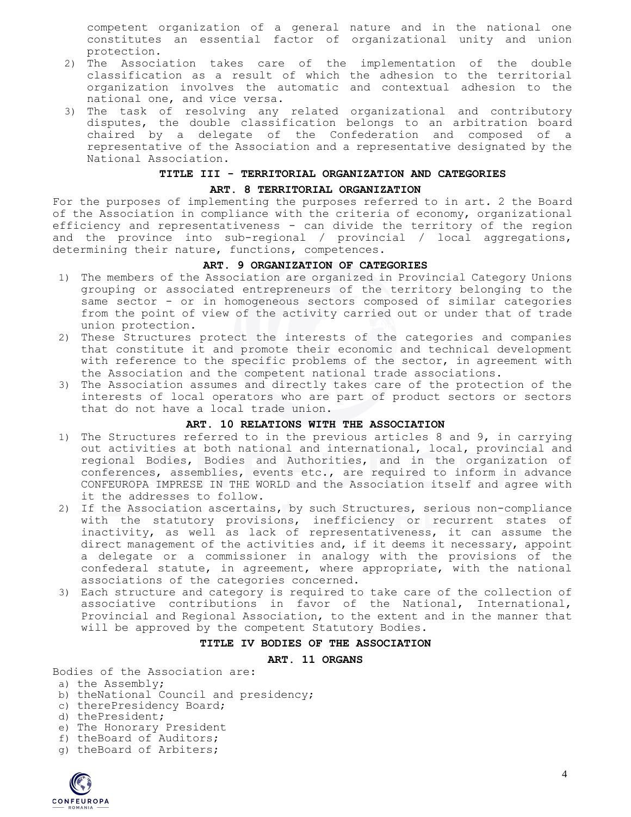competent organization of a general nature and in the national one constitutes an essential factor of organizational unity and union protection.

- 2) The Association takes care of the implementation of the double classification as a result of which the adhesion to the territorial organization involves the automatic and contextual adhesion to the national one, and vice versa.
- 3) The task of resolving any related organizational and contributory disputes, the double classification belongs to an arbitration board chaired by a delegate of the Confederation and composed of a representative of the Association and a representative designated by the National Association.

## **TITLE III - TERRITORIAL ORGANIZATION AND CATEGORIES**

### **ART. 8 TERRITORIAL ORGANIZATION**

For the purposes of implementing the purposes referred to in art. 2 the Board of the Association in compliance with the criteria of economy, organizational efficiency and representativeness - can divide the territory of the region and the province into sub-regional / provincial / local aggregations, determining their nature, functions, competences.

## **ART. 9 ORGANIZATION OF CATEGORIES**

- 1) The members of the Association are organized in Provincial Category Unions grouping or associated entrepreneurs of the territory belonging to the same sector - or in homogeneous sectors composed of similar categories from the point of view of the activity carried out or under that of trade union protection.
- 2) These Structures protect the interests of the categories and companies that constitute it and promote their economic and technical development with reference to the specific problems of the sector, in agreement with the Association and the competent national trade associations.
- 3) The Association assumes and directly takes care of the protection of the interests of local operators who are part of product sectors or sectors that do not have a local trade union.

### **ART. 10 RELATIONS WITH THE ASSOCIATION**

- 1) The Structures referred to in the previous articles 8 and 9, in carrying out activities at both national and international, local, provincial and regional Bodies, Bodies and Authorities, and in the organization of conferences, assemblies, events etc., are required to inform in advance CONFEUROPA IMPRESE IN THE WORLD and the Association itself and agree with it the addresses to follow.
- 2) If the Association ascertains, by such Structures, serious non-compliance with the statutory provisions, inefficiency or recurrent states of inactivity, as well as lack of representativeness, it can assume the direct management of the activities and, if it deems it necessary, appoint a delegate or a commissioner in analogy with the provisions of the confederal statute, in agreement, where appropriate, with the national associations of the categories concerned.
- 3) Each structure and category is required to take care of the collection of associative contributions in favor of the National, International, Provincial and Regional Association, to the extent and in the manner that will be approved by the competent Statutory Bodies.

## **TITLE IV BODIES OF THE ASSOCIATION**

### **ART. 11 ORGANS**

Bodies of the Association are:

- a) the Assembly;
- b) theNational Council and presidency;
- c) therePresidency Board;
- d) thePresident;
- e) The Honorary President
- f) theBoard of Auditors;
- g) theBoard of Arbiters;

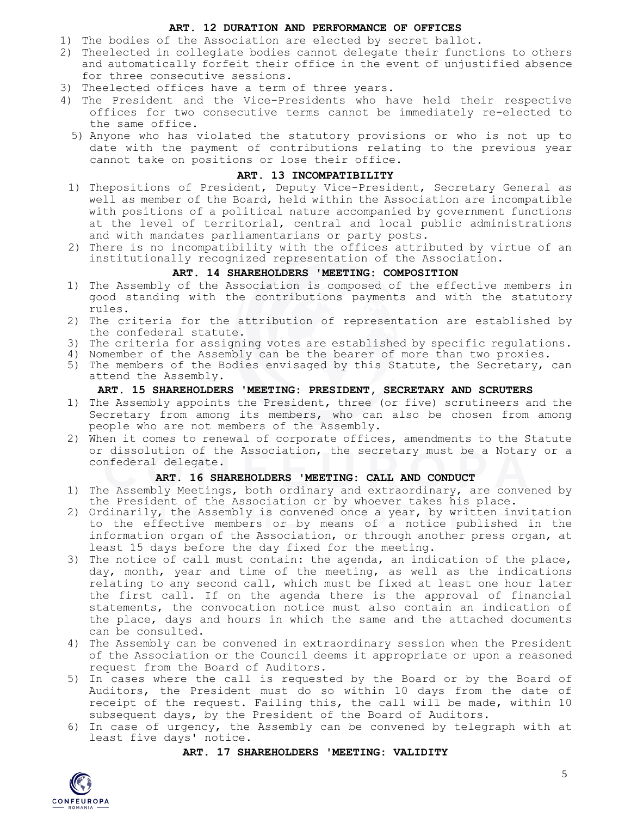## **ART. 12 DURATION AND PERFORMANCE OF OFFICES**

- 1) The bodies of the Association are elected by secret ballot.
- 2) Theelected in collegiate bodies cannot delegate their functions to others and automatically forfeit their office in the event of unjustified absence for three consecutive sessions.
- 3) Theelected offices have a term of three years.
- 4) The President and the Vice-Presidents who have held their respective offices for two consecutive terms cannot be immediately re-elected to the same office.
	- 5) Anyone who has violated the statutory provisions or who is not up to date with the payment of contributions relating to the previous year cannot take on positions or lose their office.

## **ART. 13 INCOMPATIBILITY**

- 1) Thepositions of President, Deputy Vice-President, Secretary General as well as member of the Board, held within the Association are incompatible with positions of a political nature accompanied by government functions at the level of territorial, central and local public administrations and with mandates parliamentarians or party posts.
- 2) There is no incompatibility with the offices attributed by virtue of an institutionally recognized representation of the Association.

# **ART. 14 SHAREHOLDERS 'MEETING: COMPOSITION**

- 1) The Assembly of the Association is composed of the effective members in good standing with the contributions payments and with the statutory rules.
- 2) The criteria for the attribution of representation are established by the confederal statute.
- 3) The criteria for assigning votes are established by specific regulations.
- 4) Nomember of the Assembly can be the bearer of more than two proxies.
- 5) The members of the Bodies envisaged by this Statute, the Secretary, can attend the Assembly.

## **ART. 15 SHAREHOLDERS 'MEETING: PRESIDENT, SECRETARY AND SCRUTERS**

- 1) The Assembly appoints the President, three (or five) scrutineers and the Secretary from among its members, who can also be chosen from among people who are not members of the Assembly.
- 2) When it comes to renewal of corporate offices, amendments to the Statute or dissolution of the Association, the secretary must be a Notary or a confederal delegate.

### **ART. 16 SHAREHOLDERS 'MEETING: CALL AND CONDUCT**

- 1) The Assembly Meetings, both ordinary and extraordinary, are convened by the President of the Association or by whoever takes his place.
- 2) Ordinarily, the Assembly is convened once a year, by written invitation to the effective members or by means of a notice published in the information organ of the Association, or through another press organ, at least 15 days before the day fixed for the meeting.
- 3) The notice of call must contain: the agenda, an indication of the place, day, month, year and time of the meeting, as well as the indications relating to any second call, which must be fixed at least one hour later the first call. If on the agenda there is the approval of financial statements, the convocation notice must also contain an indication of the place, days and hours in which the same and the attached documents can be consulted.
- 4) The Assembly can be convened in extraordinary session when the President of the Association or the Council deems it appropriate or upon a reasoned request from the Board of Auditors.
- 5) In cases where the call is requested by the Board or by the Board of Auditors, the President must do so within 10 days from the date of receipt of the request. Failing this, the call will be made, within 10 subsequent days, by the President of the Board of Auditors.
- 6) In case of urgency, the Assembly can be convened by telegraph with at least five days' notice.

#### **ART. 17 SHAREHOLDERS 'MEETING: VALIDITY**

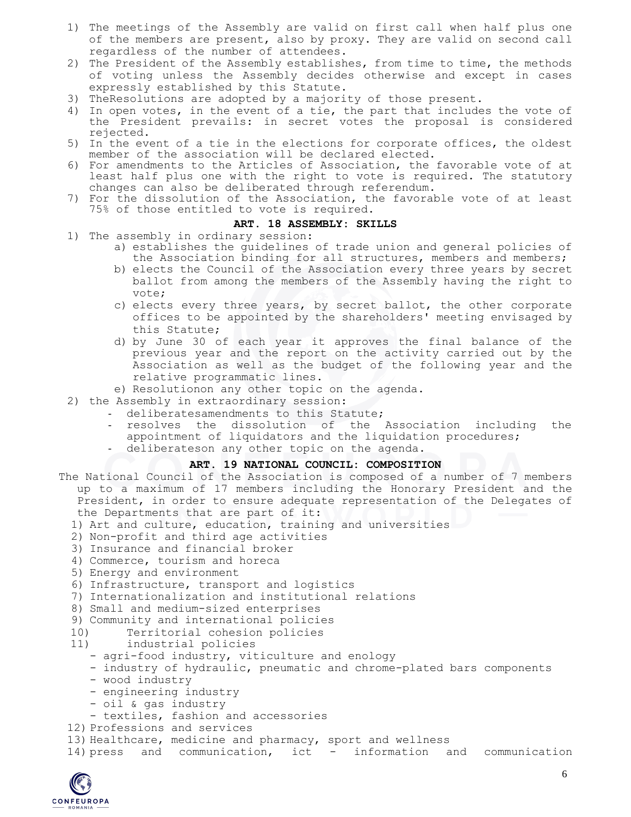- 1) The meetings of the Assembly are valid on first call when half plus one of the members are present, also by proxy. They are valid on second call regardless of the number of attendees.
- 2) The President of the Assembly establishes, from time to time, the methods of voting unless the Assembly decides otherwise and except in cases expressly established by this Statute.
- 3) TheResolutions are adopted by a majority of those present.
- 4) In open votes, in the event of a tie, the part that includes the vote of the President prevails: in secret votes the proposal is considered rejected.
- 5) In the event of a tie in the elections for corporate offices, the oldest member of the association will be declared elected.
- 6) For amendments to the Articles of Association, the favorable vote of at least half plus one with the right to vote is required. The statutory changes can also be deliberated through referendum.
- 7) For the dissolution of the Association, the favorable vote of at least 75% of those entitled to vote is required.

#### **ART. 18 ASSEMBLY: SKILLS**

- 1) The assembly in ordinary session:
	- a) establishes the guidelines of trade union and general policies of the Association binding for all structures, members and members;
	- b) elects the Council of the Association every three years by secret ballot from among the members of the Assembly having the right to vote;
	- c) elects every three years, by secret ballot, the other corporate offices to be appointed by the shareholders' meeting envisaged by this Statute;
	- d) by June 30 of each year it approves the final balance of the previous year and the report on the activity carried out by the Association as well as the budget of the following year and the relative programmatic lines.
	- e) Resolutionon any other topic on the agenda.
- 2) the Assembly in extraordinary session:
	- deliberatesamendments to this Statute;
	- resolves the dissolution of the Association including the appointment of liquidators and the liquidation procedures;
	- deliberateson any other topic on the agenda.

### **ART. 19 NATIONAL COUNCIL: COMPOSITION**

- The National Council of the Association is composed of a number of 7 members up to a maximum of 17 members including the Honorary President and the President, in order to ensure adequate representation of the Delegates of the Departments that are part of it:
	- 1) Art and culture, education, training and universities
	- 2) Non-profit and third age activities
	- 3) Insurance and financial broker
	- 4) Commerce, tourism and horeca
	- 5) Energy and environment
	- 6) Infrastructure, transport and logistics
	- 7) Internationalization and institutional relations
	- 8) Small and medium-sized enterprises
	- 9) Community and international policies
	- 10) Territorial cohesion policies
	- 11) industrial policies
		- agri-food industry, viticulture and enology
		- industry of hydraulic, pneumatic and chrome-plated bars components
		- wood industry
		- engineering industry
		- oil & gas industry
	- textiles, fashion and accessories
	- 12) Professions and services
	- 13) Healthcare, medicine and pharmacy, sport and wellness
	- 14) press and communication, ict information and communication

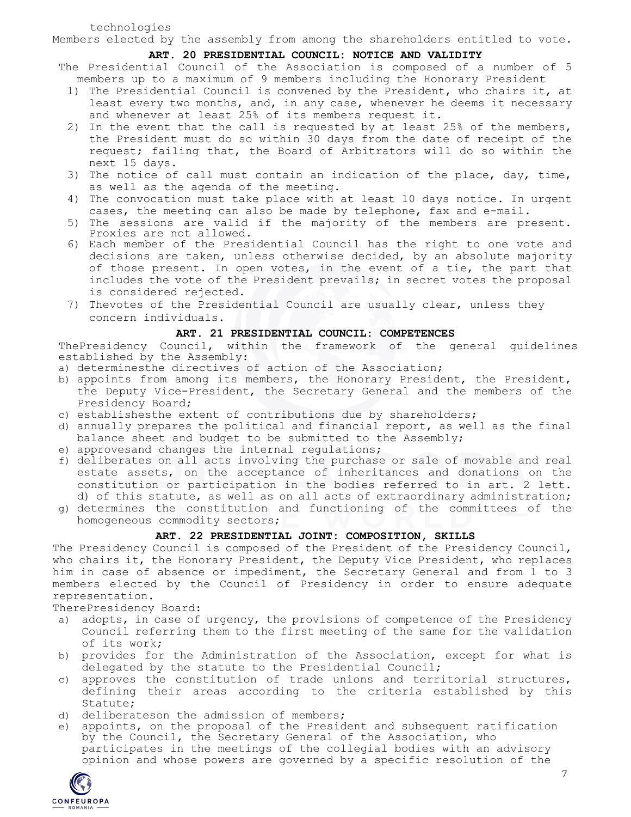technologies

Members elected by the assembly from among the shareholders entitled to vote.

## **ART. 20 PRESIDENTIAL COUNCIL: NOTICE AND VALIDITY**

The Presidential Council of the Association is composed of a number of 5 members up to a maximum of 9 members including the Honorary President

- 1) The Presidential Council is convened by the President, who chairs it, at least every two months, and, in any case, whenever he deems it necessary and whenever at least 25% of its members request it.
- 2) In the event that the call is requested by at least 25% of the members, the President must do so within 30 days from the date of receipt of the request; failing that, the Board of Arbitrators will do so within the next 15 days.
- 3) The notice of call must contain an indication of the place, day, time, as well as the agenda of the meeting.
- 4) The convocation must take place with at least 10 days notice. In urgent cases, the meeting can also be made by telephone, fax and e-mail.
- 5) The sessions are valid if the majority of the members are present. Proxies are not allowed.
- 6) Each member of the Presidential Council has the right to one vote and decisions are taken, unless otherwise decided, by an absolute majority of those present. In open votes, in the event of a tie, the part that includes the vote of the President prevails; in secret votes the proposal is considered rejected.
- 7) Thevotes of the Presidential Council are usually clear, unless they concern individuals.

# **ART. 21 PRESIDENTIAL COUNCIL: COMPETENCES**

ThePresidency Council, within the framework of the general guidelines established by the Assembly:

- a) determinesthe directives of action of the Association;
- b) appoints from among its members, the Honorary President, the President, the Deputy Vice-President, the Secretary General and the members of the Presidency Board;
- c) establishesthe extent of contributions due by shareholders;
- d) annually prepares the political and financial report, as well as the final balance sheet and budget to be submitted to the Assembly;
- e) approvesand changes the internal regulations;
- f) deliberates on all acts involving the purchase or sale of movable and real estate assets, on the acceptance of inheritances and donations on the constitution or participation in the bodies referred to in art. 2 lett. d) of this statute, as well as on all acts of extraordinary administration;
- g) determines the constitution and functioning of the committees of the homogeneous commodity sectors;

# **ART. 22 PRESIDENTIAL JOINT: COMPOSITION, SKILLS**

The Presidency Council is composed of the President of the Presidency Council, who chairs it, the Honorary President, the Deputy Vice President, who replaces him in case of absence or impediment, the Secretary General and from 1 to 3 members elected by the Council of Presidency in order to ensure adequate representation.

TherePresidency Board:

- a) adopts, in case of urgency, the provisions of competence of the Presidency Council referring them to the first meeting of the same for the validation of its work;
- b) provides for the Administration of the Association, except for what is delegated by the statute to the Presidential Council;
- c) approves the constitution of trade unions and territorial structures, defining their areas according to the criteria established by this Statute;
- d) deliberateson the admission of members;
- e) appoints, on the proposal of the President and subsequent ratification by the Council, the Secretary General of the Association, who participates in the meetings of the collegial bodies with an advisory opinion and whose powers are governed by a specific resolution of the

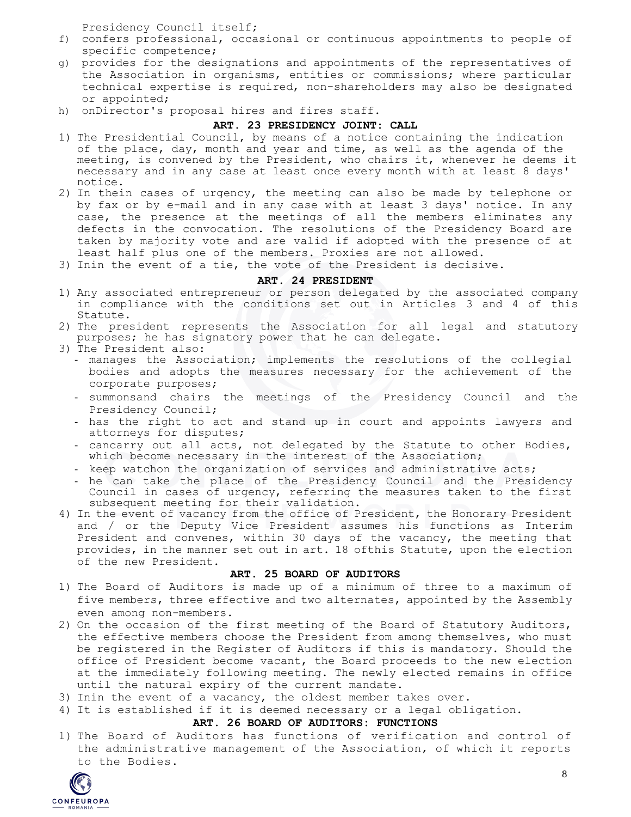Presidency Council itself;

- f) confers professional, occasional or continuous appointments to people of specific competence;
- g) provides for the designations and appointments of the representatives of the Association in organisms, entities or commissions; where particular technical expertise is required, non-shareholders may also be designated or appointed;
- h) onDirector's proposal hires and fires staff.

# **ART. 23 PRESIDENCY JOINT: CALL**

- 1) The Presidential Council, by means of a notice containing the indication of the place, day, month and year and time, as well as the agenda of the meeting, is convened by the President, who chairs it, whenever he deems it necessary and in any case at least once every month with at least 8 days' notice.
- 2) In thein cases of urgency, the meeting can also be made by telephone or by fax or by e-mail and in any case with at least 3 days' notice. In any case, the presence at the meetings of all the members eliminates any defects in the convocation. The resolutions of the Presidency Board are taken by majority vote and are valid if adopted with the presence of at least half plus one of the members. Proxies are not allowed.
- 3) Inin the event of a tie, the vote of the President is decisive.

## **ART. 24 PRESIDENT**

- 1) Any associated entrepreneur or person delegated by the associated company in compliance with the conditions set out in Articles 3 and 4 of this Statute.
- 2) The president represents the Association for all legal and statutory purposes; he has signatory power that he can delegate.
- 3) The President also:
	- manages the Association; implements the resolutions of the collegial bodies and adopts the measures necessary for the achievement of the corporate purposes;
	- summonsand chairs the meetings of the Presidency Council and the Presidency Council;
	- has the right to act and stand up in court and appoints lawyers and attorneys for disputes;
	- cancarry out all acts, not delegated by the Statute to other Bodies, which become necessary in the interest of the Association;
	- keep watchon the organization of services and administrative acts;
	- he can take the place of the Presidency Council and the Presidency Council in cases of urgency, referring the measures taken to the first subsequent meeting for their validation.
- 4) In the event of vacancy from the office of President, the Honorary President and / or the Deputy Vice President assumes his functions as Interim President and convenes, within 30 days of the vacancy, the meeting that provides, in the manner set out in art. 18 ofthis Statute, upon the election of the new President.

### **ART. 25 BOARD OF AUDITORS**

- 1) The Board of Auditors is made up of a minimum of three to a maximum of five members, three effective and two alternates, appointed by the Assembly even among non-members.
- 2) On the occasion of the first meeting of the Board of Statutory Auditors, the effective members choose the President from among themselves, who must be registered in the Register of Auditors if this is mandatory. Should the office of President become vacant, the Board proceeds to the new election at the immediately following meeting. The newly elected remains in office until the natural expiry of the current mandate.
- 3) Inin the event of a vacancy, the oldest member takes over.
- 4) It is established if it is deemed necessary or a legal obligation.

## **ART. 26 BOARD OF AUDITORS: FUNCTIONS**

1) The Board of Auditors has functions of verification and control of the administrative management of the Association, of which it reports to the Bodies.

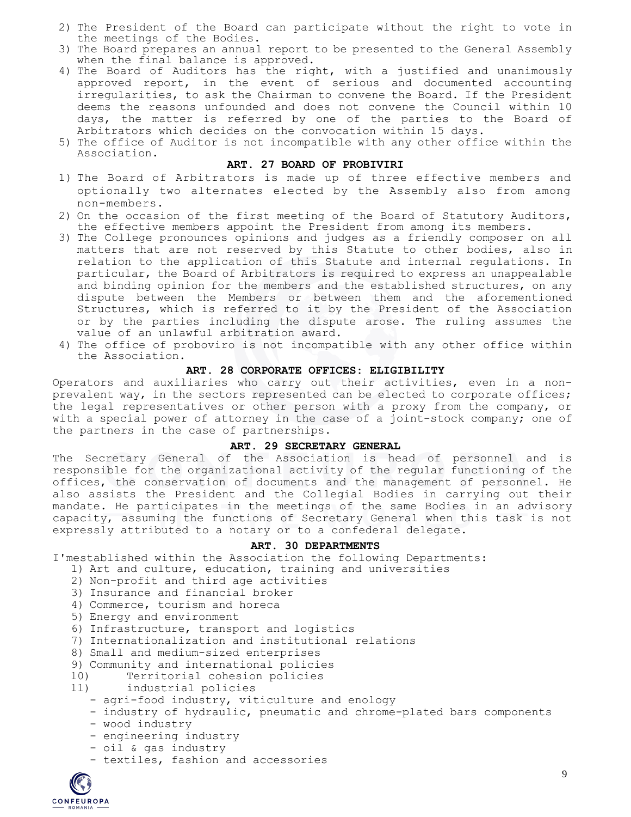- 2) The President of the Board can participate without the right to vote in the meetings of the Bodies.
- 3) The Board prepares an annual report to be presented to the General Assembly when the final balance is approved.
- 4) The Board of Auditors has the right, with a justified and unanimously approved report, in the event of serious and documented accounting irregularities, to ask the Chairman to convene the Board. If the President deems the reasons unfounded and does not convene the Council within 10 days, the matter is referred by one of the parties to the Board of Arbitrators which decides on the convocation within 15 days.
- 5) The office of Auditor is not incompatible with any other office within the Association.

## **ART. 27 BOARD OF PROBIVIRI**

- 1) The Board of Arbitrators is made up of three effective members and optionally two alternates elected by the Assembly also from among non-members.
- 2) On the occasion of the first meeting of the Board of Statutory Auditors, the effective members appoint the President from among its members.
- 3) The College pronounces opinions and judges as a friendly composer on all matters that are not reserved by this Statute to other bodies, also in relation to the application of this Statute and internal regulations. In particular, the Board of Arbitrators is required to express an unappealable and binding opinion for the members and the established structures, on any dispute between the Members or between them and the aforementioned Structures, which is referred to it by the President of the Association or by the parties including the dispute arose. The ruling assumes the value of an unlawful arbitration award.
- 4) The office of proboviro is not incompatible with any other office within the Association.

# **ART. 28 CORPORATE OFFICES: ELIGIBILITY**

Operators and auxiliaries who carry out their activities, even in a nonprevalent way, in the sectors represented can be elected to corporate offices; the legal representatives or other person with a proxy from the company, or with a special power of attorney in the case of a joint-stock company; one of the partners in the case of partnerships.

## **ART. 29 SECRETARY GENERAL**

The Secretary General of the Association is head of personnel and is responsible for the organizational activity of the regular functioning of the offices, the conservation of documents and the management of personnel. He also assists the President and the Collegial Bodies in carrying out their mandate. He participates in the meetings of the same Bodies in an advisory capacity, assuming the functions of Secretary General when this task is not expressly attributed to a notary or to a confederal delegate.

## **ART. 30 DEPARTMENTS**

I'mestablished within the Association the following Departments:

- 1) Art and culture, education, training and universities
- 2) Non-profit and third age activities
- 3) Insurance and financial broker
- 4) Commerce, tourism and horeca
- 5) Energy and environment
- 6) Infrastructure, transport and logistics
- 7) Internationalization and institutional relations
- 8) Small and medium-sized enterprises
- 9) Community and international policies
- 10) Territorial cohesion policies
- 11) industrial policies
	- agri-food industry, viticulture and enology
	- industry of hydraulic, pneumatic and chrome-plated bars components
	- wood industry
	- engineering industry
	- oil & gas industry
	- textiles, fashion and accessories